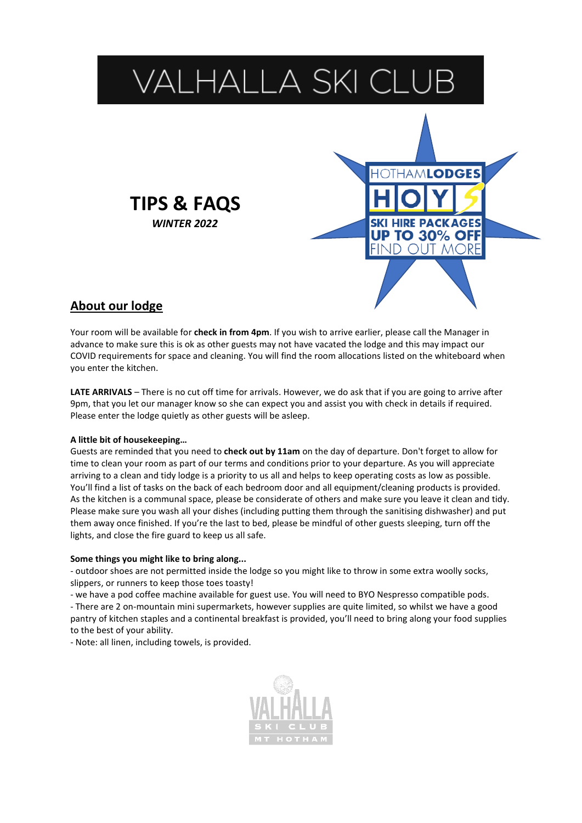

# **About our lodge**

Your room will be available for **check in from 4pm**. If you wish to arrive earlier, please call the Manager in advance to make sure this is ok as other guests may not have vacated the lodge and this may impact our COVID requirements for space and cleaning. You will find the room allocations listed on the whiteboard when you enter the kitchen.

**LATE ARRIVALS** – There is no cut off time for arrivals. However, we do ask that if you are going to arrive after 9pm, that you let our manager know so she can expect you and assist you with check in details if required. Please enter the lodge quietly as other guests will be asleep.

#### **A little bit of housekeeping…**

Guests are reminded that you need to **check out by 11am** on the day of departure. Don't forget to allow for time to clean your room as part of our terms and conditions prior to your departure. As you will appreciate arriving to a clean and tidy lodge is a priority to us all and helps to keep operating costs as low as possible. You'll find a list of tasks on the back of each bedroom door and all equipment/cleaning products is provided. As the kitchen is a communal space, please be considerate of others and make sure you leave it clean and tidy. Please make sure you wash all your dishes (including putting them through the sanitising dishwasher) and put them away once finished. If you're the last to bed, please be mindful of other guests sleeping, turn off the lights, and close the fire guard to keep us all safe.

#### **Some things you might like to bring along...**

- outdoor shoes are not permitted inside the lodge so you might like to throw in some extra woolly socks, slippers, or runners to keep those toes toasty!

- we have a pod coffee machine available for guest use. You will need to BYO Nespresso compatible pods.

- There are 2 on-mountain mini supermarkets, however supplies are quite limited, so whilst we have a good pantry of kitchen staples and a continental breakfast is provided, you'll need to bring along your food supplies to the best of your ability.

- Note: all linen, including towels, is provided.

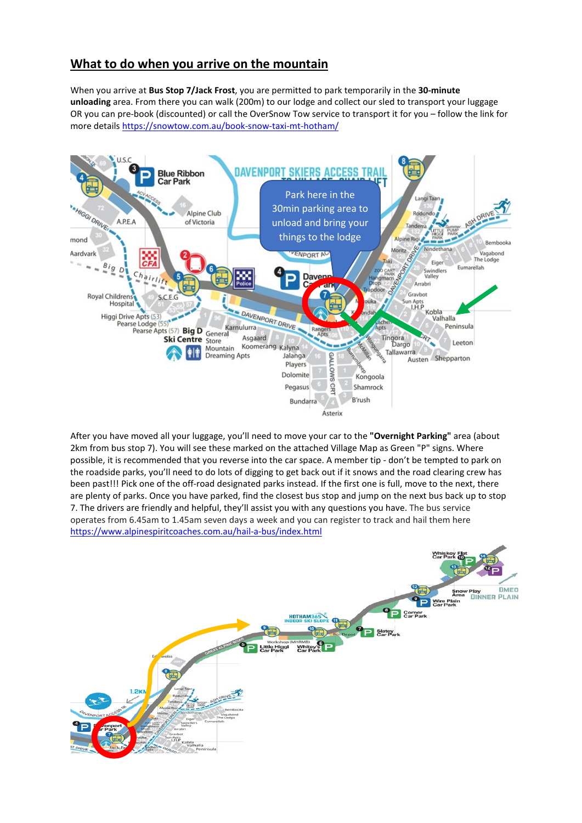## **What to do when you arrive on the mountain**

When you arrive at **Bus Stop 7/Jack Frost**, you are permitted to park temporarily in the **30-minute unloading** area. From there you can walk (200m) to our lodge and collect our sled to transport your luggage OR you can pre-book (discounted) or call the OverSnow Tow service to transport it for you – follow the link for more details <https://snowtow.com.au/book-snow-taxi-mt-hotham/>



After you have moved all your luggage, you'll need to move your car to the **"Overnight Parking"** area (about 2km from bus stop 7). You will see these marked on the attached Village Map as Green "P" signs. Where possible, it is recommended that you reverse into the car space. A member tip - don't be tempted to park on the roadside parks, you'll need to do lots of digging to get back out if it snows and the road clearing crew has been past!!! Pick one of the off-road designated parks instead. If the first one is full, move to the next, there are plenty of parks. Once you have parked, find the closest bus stop and jump on the next bus back up to stop 7. The drivers are friendly and helpful, they'll assist you with any questions you have. The bus service operates from 6.45am to 1.45am seven days a week and you can register to track and hail them here <https://www.alpinespiritcoaches.com.au/hail-a-bus/index.html>

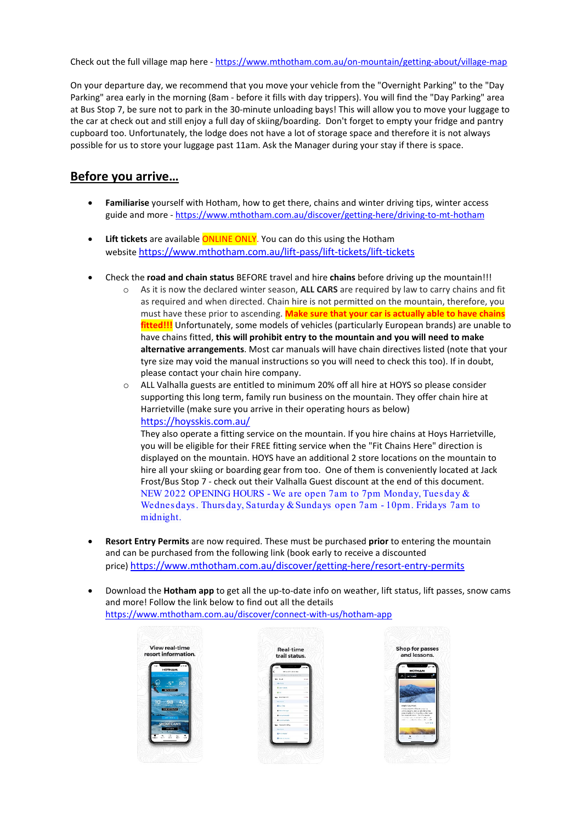Check out the full village map here - <https://www.mthotham.com.au/on-mountain/getting-about/village-map>

On your departure day, we recommend that you move your vehicle from the "Overnight Parking" to the "Day Parking" area early in the morning (8am - before it fills with day trippers). You will find the "Day Parking" area at Bus Stop 7, be sure not to park in the 30-minute unloading bays! This will allow you to move your luggage to the car at check out and still enjoy a full day of skiing/boarding. Don't forget to empty your fridge and pantry cupboard too. Unfortunately, the lodge does not have a lot of storage space and therefore it is not always possible for us to store your luggage past 11am. Ask the Manager during your stay if there is space.

#### **Before you arrive…**

- **Familiarise** yourself with Hotham, how to get there, chains and winter driving tips, winter access guide and more - <https://www.mthotham.com.au/discover/getting-here/driving-to-mt-hotham>
- Lift tickets are available **ONLINE ONLY**. You can do this using the Hotham website <https://www.mthotham.com.au/lift-pass/lift-tickets/lift-tickets>
- Check the **road and chain status** BEFORE travel and hire **chains** before driving up the mountain!!!
	- o As it is now the declared winter season, **ALL CARS** are required by law to carry chains and fit as required and when directed. Chain hire is not permitted on the mountain, therefore, you must have these prior to ascending. **Make sure that your car is actually able to have chains fitted!!!** Unfortunately, some models of vehicles (particularly European brands) are unable to have chains fitted, **this will prohibit entry to the mountain and you will need to make alternative arrangements**. Most car manuals will have chain directives listed (note that your tyre size may void the manual instructions so you will need to check this too). If in doubt, please contact your chain hire company.
	- o ALL Valhalla guests are entitled to minimum 20% off all hire at HOYS so please consider supporting this long term, family run business on the mountain. They offer chain hire at Harrietville (make sure you arrive in their operating hours as below) <https://hoysskis.com.au/>

They also operate a fitting service on the mountain. If you hire chains at Hoys Harrietville, you will be eligible for their FREE fitting service when the "Fit Chains Here" direction is displayed on the mountain. HOYS have an additional 2 store locations on the mountain to hire all your skiing or boarding gear from too. One of them is conveniently located at Jack Frost/Bus Stop 7 - check out their Valhalla Guest discount at the end of this document. NEW 2022 OPENING HOURS - We are open 7am to 7pm Monday, Tues day & Wednes days . Thurs day, Saturday & Sundays open 7am - 10pm. Fridays 7am to midnight.

- **Resort Entry Permits** are now required. These must be purchased **prior** to entering the mountain and can be purchased from the following link (book early to receive a discounted price) <https://www.mthotham.com.au/discover/getting-here/resort-entry-permits>
- Download the **Hotham app** to get all the up-to-date info on weather, lift status, lift passes, snow cams and more! Follow the link below to find out all the details <https://www.mthotham.com.au/discover/connect-with-us/hotham-app>



| trail status.                                      |              |
|----------------------------------------------------|--------------|
| <br>ean.<br>ć                                      |              |
| sature that there also<br><b>ROOM NAME AND ARR</b> |              |
| <b>SIL MAD</b>                                     | <b>Dom</b>   |
| March 19                                           |              |
| <b>B. Cary Leront</b>                              | <b>COL</b>   |
| mor.                                               | <b>CHAN</b>  |
| has foundation.                                    | L. New       |
| MOTOR                                              |              |
| <b>Black</b>                                       | Co.          |
| <b>Mount of Armore</b>                             | Gas.         |
| <b>Live Mando</b>                                  | <b>CLAIR</b> |
| <b>Archer Van die</b>                              | <b>COL</b>   |
| <b>Electric Valley</b>                             | v. hond      |
| <b>Monday</b>                                      |              |
| <b>Miller States</b>                               |              |
| <b>Billiam</b>                                     |              |